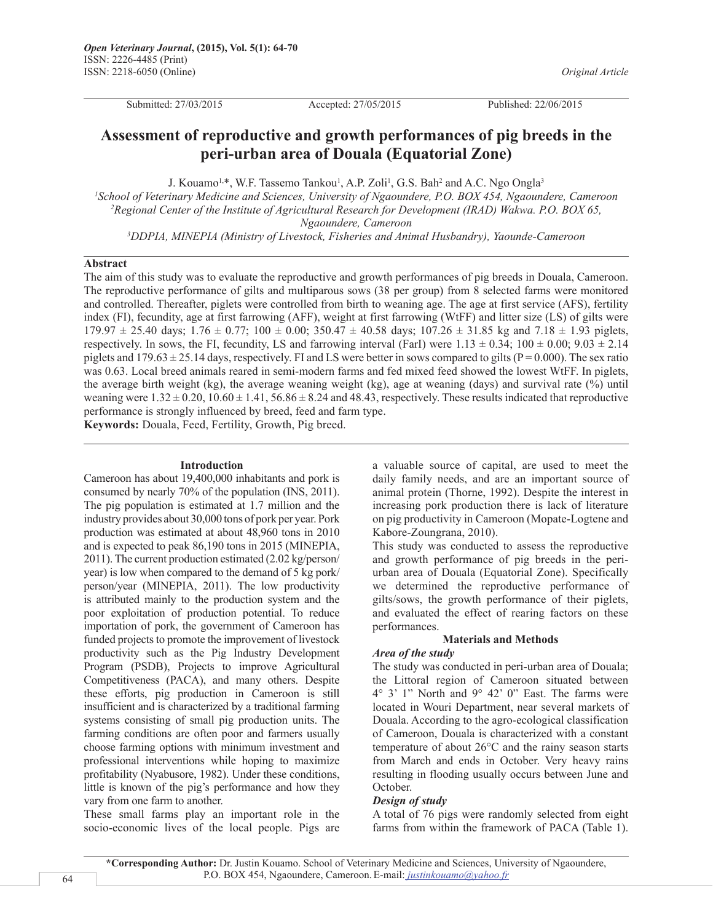*Original Article*

Submitted: 27/03/2015 Accepted: 27/05/2015 Published: 22/06/2015

# **Assessment of reproductive and growth performances of pig breeds in the peri-urban area of Douala (Equatorial Zone)**

J. Kouamo<sup>1,\*</sup>, W.F. Tassemo Tankou<sup>1</sup>, A.P. Zoli<sup>1</sup>, G.S. Bah<sup>2</sup> and A.C. Ngo Ongla<sup>3</sup>

*1 School of Veterinary Medicine and Sciences, University of Ngaoundere, P.O. BOX 454, Ngaoundere, Cameroon 2 Regional Center of the Institute of Agricultural Research for Development (IRAD) Wakwa. P.O. BOX 65, Ngaoundere, Cameroon*

*3 DDPIA, MINEPIA (Ministry of Livestock, Fisheries and Animal Husbandry), Yaounde-Cameroon*

#### **Abstract**

The aim of this study was to evaluate the reproductive and growth performances of pig breeds in Douala, Cameroon. The reproductive performance of gilts and multiparous sows (38 per group) from 8 selected farms were monitored and controlled. Thereafter, piglets were controlled from birth to weaning age. The age at first service (AFS), fertility index (FI), fecundity, age at first farrowing (AFF), weight at first farrowing (WtFF) and litter size (LS) of gilts were  $179.97 \pm 25.40$  days;  $1.76 \pm 0.77$ ;  $100 \pm 0.00$ ;  $350.47 \pm 40.58$  days;  $107.26 \pm 31.85$  kg and  $7.18 \pm 1.93$  piglets, respectively. In sows, the FI, fecundity, LS and farrowing interval (FarI) were  $1.13 \pm 0.34$ ;  $100 \pm 0.00$ ;  $9.03 \pm 2.14$ piglets and  $179.63 \pm 25.14$  days, respectively. FI and LS were better in sows compared to gilts (P=0.000). The sex ratio was 0.63. Local breed animals reared in semi-modern farms and fed mixed feed showed the lowest WtFF. In piglets, the average birth weight (kg), the average weaning weight (kg), age at weaning (days) and survival rate (%) until weaning were  $1.32 \pm 0.20$ ,  $10.60 \pm 1.41$ ,  $56.86 \pm 8.24$  and 48.43, respectively. These results indicated that reproductive performance is strongly influenced by breed, feed and farm type.

**Keywords:** Douala, Feed, Fertility, Growth, Pig breed.

#### **Introduction**

Cameroon has about 19,400,000 inhabitants and pork is consumed by nearly 70% of the population (INS, 2011). The pig population is estimated at 1.7 million and the industry provides about 30,000 tons of pork per year. Pork production was estimated at about 48,960 tons in 2010 and is expected to peak 86,190 tons in 2015 (MINEPIA, 2011). The current production estimated (2.02 kg/person/ year) is low when compared to the demand of 5 kg pork/ person/year (MINEPIA, 2011). The low productivity is attributed mainly to the production system and the poor exploitation of production potential. To reduce importation of pork, the government of Cameroon has funded projects to promote the improvement of livestock productivity such as the Pig Industry Development Program (PSDB), Projects to improve Agricultural Competitiveness (PACA), and many others. Despite these efforts, pig production in Cameroon is still insufficient and is characterized by a traditional farming systems consisting of small pig production units. The farming conditions are often poor and farmers usually choose farming options with minimum investment and professional interventions while hoping to maximize profitability (Nyabusore, 1982). Under these conditions, little is known of the pig's performance and how they vary from one farm to another.

These small farms play an important role in the socio-economic lives of the local people. Pigs are a valuable source of capital, are used to meet the daily family needs, and are an important source of animal protein (Thorne, 1992). Despite the interest in increasing pork production there is lack of literature on pig productivity in Cameroon (Mopate-Logtene and Kabore-Zoungrana, 2010).

This study was conducted to assess the reproductive and growth performance of pig breeds in the periurban area of Douala (Equatorial Zone). Specifically we determined the reproductive performance of gilts/sows, the growth performance of their piglets, and evaluated the effect of rearing factors on these performances.

### **Materials and Methods**

# *Area of the study*

The study was conducted in peri-urban area of Douala; the Littoral region of Cameroon situated between 4° 3' 1" North and 9° 42' 0" East. The farms were located in Wouri Department, near several markets of Douala. According to the agro-ecological classification of Cameroon, Douala is characterized with a constant temperature of about 26°C and the rainy season starts from March and ends in October. Very heavy rains resulting in flooding usually occurs between June and October.

## *Design of study*

A total of 76 pigs were randomly selected from eight farms from within the framework of PACA (Table 1).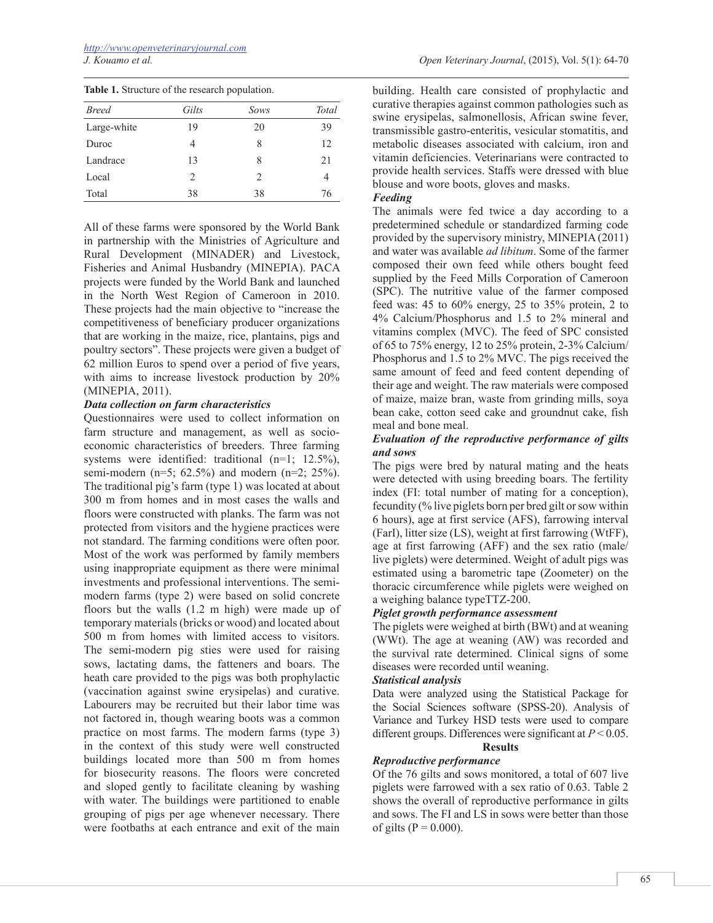|  |  |  |  | Table 1. Structure of the research population. |
|--|--|--|--|------------------------------------------------|
|--|--|--|--|------------------------------------------------|

| <b>Breed</b> | Gilts | Sows                          | Total |
|--------------|-------|-------------------------------|-------|
| Large-white  | 19    | 20                            | 39    |
| Duroc        | 4     | 8                             | 12    |
| Landrace     | 13    | 8                             | 21    |
| Local        | 2     | $\mathfrak{D}_{\mathfrak{p}}$ | 4     |
| Total        | 38    | 38                            | 76    |

All of these farms were sponsored by the World Bank in partnership with the Ministries of Agriculture and Rural Development (MINADER) and Livestock, Fisheries and Animal Husbandry (MINEPIA). PACA projects were funded by the World Bank and launched in the North West Region of Cameroon in 2010. These projects had the main objective to "increase the competitiveness of beneficiary producer organizations that are working in the maize, rice, plantains, pigs and poultry sectors". These projects were given a budget of 62 million Euros to spend over a period of five years, with aims to increase livestock production by 20% (MINEPIA, 2011).

### *Data collection on farm characteristics*

Questionnaires were used to collect information on farm structure and management, as well as socioeconomic characteristics of breeders. Three farming systems were identified: traditional (n=1; 12.5%), semi-modern (n=5; 62.5%) and modern (n=2; 25%). The traditional pig's farm (type 1) was located at about 300 m from homes and in most cases the walls and floors were constructed with planks. The farm was not protected from visitors and the hygiene practices were not standard. The farming conditions were often poor. Most of the work was performed by family members using inappropriate equipment as there were minimal investments and professional interventions. The semimodern farms (type 2) were based on solid concrete floors but the walls (1.2 m high) were made up of temporary materials (bricks or wood) and located about 500 m from homes with limited access to visitors. The semi-modern pig sties were used for raising sows, lactating dams, the fatteners and boars. The heath care provided to the pigs was both prophylactic (vaccination against swine erysipelas) and curative. Labourers may be recruited but their labor time was not factored in, though wearing boots was a common practice on most farms. The modern farms (type 3) in the context of this study were well constructed buildings located more than 500 m from homes for biosecurity reasons. The floors were concreted and sloped gently to facilitate cleaning by washing with water. The buildings were partitioned to enable grouping of pigs per age whenever necessary. There were footbaths at each entrance and exit of the main

building. Health care consisted of prophylactic and curative therapies against common pathologies such as swine erysipelas, salmonellosis, African swine fever, transmissible gastro-enteritis, vesicular stomatitis, and metabolic diseases associated with calcium, iron and vitamin deficiencies. Veterinarians were contracted to provide health services. Staffs were dressed with blue blouse and wore boots, gloves and masks.

## *Feeding*

The animals were fed twice a day according to a predetermined schedule or standardized farming code provided by the supervisory ministry, MINEPIA (2011) and water was available *ad libitum*. Some of the farmer composed their own feed while others bought feed supplied by the Feed Mills Corporation of Cameroon (SPC). The nutritive value of the farmer composed feed was: 45 to 60% energy, 25 to 35% protein, 2 to 4% Calcium/Phosphorus and 1.5 to 2% mineral and vitamins complex (MVC). The feed of SPC consisted of 65 to 75% energy, 12 to 25% protein, 2-3% Calcium/ Phosphorus and 1.5 to 2% MVC. The pigs received the same amount of feed and feed content depending of their age and weight. The raw materials were composed of maize, maize bran, waste from grinding mills, soya bean cake, cotton seed cake and groundnut cake, fish meal and bone meal.

## *Evaluation of the reproductive performance of gilts and sows*

The pigs were bred by natural mating and the heats were detected with using breeding boars. The fertility index (FI: total number of mating for a conception), fecundity (% live piglets born per bred gilt or sow within 6 hours), age at first service (AFS), farrowing interval (FarI), litter size (LS), weight at first farrowing (WtFF), age at first farrowing (AFF) and the sex ratio (male/ live piglets) were determined. Weight of adult pigs was estimated using a barometric tape (Zoometer) on the thoracic circumference while piglets were weighed on a weighing balance typeTTZ-200.

## *Piglet growth performance assessment*

The piglets were weighed at birth (BWt) and at weaning (WWt). The age at weaning (AW) was recorded and the survival rate determined. Clinical signs of some diseases were recorded until weaning.

## *Statistical analysis*

Data were analyzed using the Statistical Package for the Social Sciences software (SPSS-20). Analysis of Variance and Turkey HSD tests were used to compare different groups. Differences were significant at *P* < 0.05.

### **Results**

# *Reproductive performance*

Of the 76 gilts and sows monitored, a total of 607 live piglets were farrowed with a sex ratio of 0.63. Table 2 shows the overall of reproductive performance in gilts and sows. The FI and LS in sows were better than those of gilts ( $P = 0.000$ ).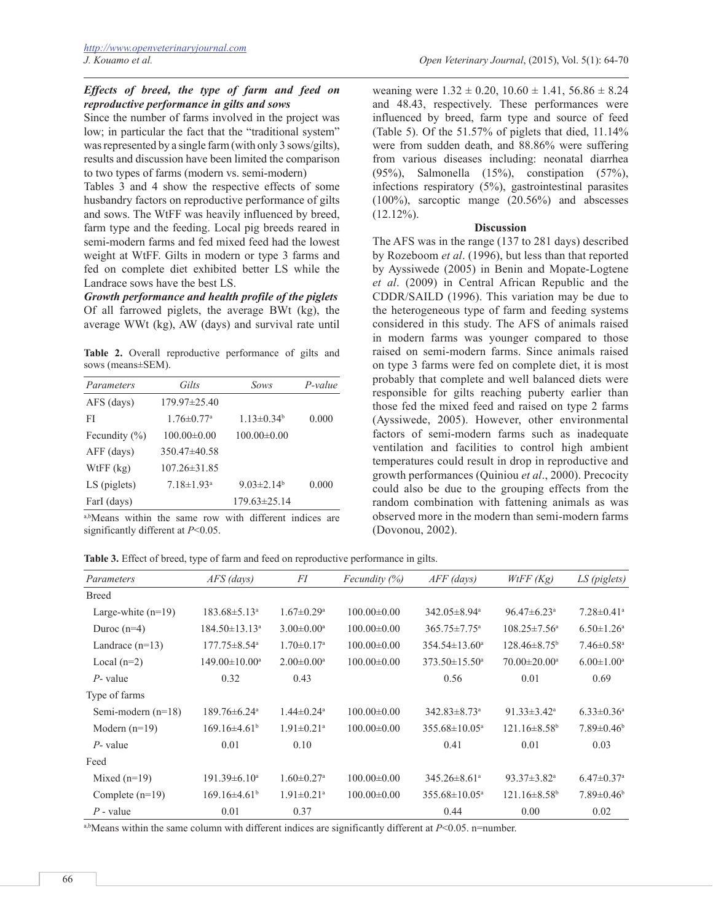## *Effects of breed, the type of farm and feed on reproductive performance in gilts and sows*

Since the number of farms involved in the project was low; in particular the fact that the "traditional system" was represented by a single farm (with only 3 sows/gilts), results and discussion have been limited the comparison to two types of farms (modern vs. semi-modern)

Tables 3 and 4 show the respective effects of some husbandry factors on reproductive performance of gilts and sows. The WtFF was heavily influenced by breed, farm type and the feeding. Local pig breeds reared in semi-modern farms and fed mixed feed had the lowest weight at WtFF. Gilts in modern or type 3 farms and fed on complete diet exhibited better LS while the Landrace sows have the best LS.

*Growth performance and health profile of the piglets* Of all farrowed piglets, the average BWt (kg), the average WWt (kg), AW (days) and survival rate until

**Table 2.** Overall reproductive performance of gilts and sows (means±SEM).

| Parameters        | Gilts                        | Sows                         | $P-value$ |
|-------------------|------------------------------|------------------------------|-----------|
| AFS (days)        | $179.97\pm 25.40$            |                              |           |
| FI                | $1.76 \pm 0.77$ <sup>a</sup> | $1.13 \pm 0.34$ <sup>b</sup> | 0.000     |
| Fecundity $(\% )$ | $100.00 \pm 0.00$            | $100.00\pm0.00$              |           |
| $AFF$ (days)      | $350.47\pm40.58$             |                              |           |
| $WtFF$ (kg)       | $107.26 \pm 31.85$           |                              |           |
| LS (piglets)      | $7.18 \pm 1.93$ <sup>a</sup> | $9.03 \pm 2.14^b$            | 0.000     |
| FarI (days)       |                              | $179.63 \pm 25.14$           |           |

a,bMeans within the same row with different indices are significantly different at *P*<0.05.

weaning were  $1.32 \pm 0.20$ ,  $10.60 \pm 1.41$ ,  $56.86 \pm 8.24$ and 48.43, respectively. These performances were influenced by breed, farm type and source of feed (Table 5). Of the 51.57% of piglets that died, 11.14% were from sudden death, and 88.86% were suffering from various diseases including: neonatal diarrhea (95%), Salmonella (15%), constipation (57%), infections respiratory (5%), gastrointestinal parasites (100%), sarcoptic mange (20.56%) and abscesses  $(12.12\%)$ .

## **Discussion**

The AFS was in the range (137 to 281 days) described by Rozeboom *et al*. (1996), but less than that reported by Ayssiwede (2005) in Benin and Mopate-Logtene *et al*. (2009) in Central African Republic and the CDDR/SAILD (1996). This variation may be due to the heterogeneous type of farm and feeding systems considered in this study. The AFS of animals raised in modern farms was younger compared to those raised on semi-modern farms. Since animals raised on type 3 farms were fed on complete diet, it is most probably that complete and well balanced diets were responsible for gilts reaching puberty earlier than those fed the mixed feed and raised on type 2 farms (Ayssiwede, 2005). However, other environmental factors of semi-modern farms such as inadequate ventilation and facilities to control high ambient temperatures could result in drop in reproductive and growth performances (Quiniou *et al*., 2000). Precocity could also be due to the grouping effects from the random combination with fattening animals as was observed more in the modern than semi-modern farms (Dovonou, 2002).

**Table 3.** Effect of breed, type of farm and feed on reproductive performance in gilts.

| Parameters           | $AFS$ (days)                   | FI                           | Fecundity $(\%)$  | $AFF$ (days)                   | WtFF(Kg)                      | LS (piglets)                 |
|----------------------|--------------------------------|------------------------------|-------------------|--------------------------------|-------------------------------|------------------------------|
| <b>Breed</b>         |                                |                              |                   |                                |                               |                              |
| Large-white $(n=19)$ | $183.68 \pm 5.13$ <sup>a</sup> | $1.67 \pm 0.29$ <sup>a</sup> | $100.00 \pm 0.00$ | $342.05 \pm 8.94$ <sup>a</sup> | $96.47\pm6.23$ <sup>a</sup>   | $7.28 \pm 0.41$ <sup>a</sup> |
| Duroc $(n=4)$        | $184.50 \pm 13.13^a$           | $3.00 \pm 0.00$ <sup>a</sup> | $100.00 \pm 0.00$ | $365.75 \pm 7.75$ <sup>a</sup> | $108.25 \pm 7.56^a$           | $6.50 \pm 1.26$ <sup>a</sup> |
| Landrace $(n=13)$    | $177.75 \pm 8.54$ <sup>a</sup> | $1.70 \pm 0.17$ <sup>a</sup> | $100.00 \pm 0.00$ | $354.54 \pm 13.60^a$           | $128.46\pm8.75^{\circ}$       | $7.46\pm0.58$ <sup>a</sup>   |
| Local $(n=2)$        | $149.00 \pm 10.00^{\circ}$     | $2.00 \pm 0.00^a$            | $100.00 \pm 0.00$ | $373.50 \pm 15.50^{\circ}$     | $70.00 \pm 20.00^a$           | $6.00 \pm 1.00^a$            |
| $P$ - value          | 0.32                           | 0.43                         |                   | 0.56                           | 0.01                          | 0.69                         |
| Type of farms        |                                |                              |                   |                                |                               |                              |
| Semi-modern $(n=18)$ | $189.76 \pm 6.24$ <sup>a</sup> | $1.44 \pm 0.24$ <sup>a</sup> | $100.00\pm0.00$   | $342.83 \pm 8.73$ <sup>a</sup> | $91.33 \pm 3.42^a$            | $6.33 \pm 0.36^a$            |
| Modern $(n=19)$      | $169.16\pm4.61b$               | $1.91 \pm 0.21$ <sup>a</sup> | $100.00 \pm 0.00$ | $355.68 \pm 10.05^{\text{a}}$  | $121.16\pm8.58^{\circ}$       | $7.89 \pm 0.46$ <sup>b</sup> |
| $P$ - value          | 0.01                           | 0.10                         |                   | 0.41                           | 0.01                          | 0.03                         |
| Feed                 |                                |                              |                   |                                |                               |                              |
| Mixed $(n=19)$       | $191.39 \pm 6.10^a$            | $1.60 \pm 0.27$ <sup>a</sup> | $100.00 \pm 0.00$ | $345.26 \pm 8.61$ <sup>a</sup> | $93.37 \pm 3.82$ <sup>a</sup> | $6.47 \pm 0.37$ <sup>a</sup> |
| Complete $(n=19)$    | $169.16\pm4.61b$               | $1.91 \pm 0.21$ <sup>a</sup> | $100.00 \pm 0.00$ | $355.68 \pm 10.05^a$           | $121.16\pm8.58^{\circ}$       | $7.89 \pm 0.46$ <sup>b</sup> |
| $P$ - value          | 0.01                           | 0.37                         |                   | 0.44                           | 0.00                          | 0.02                         |

a,bMeans within the same column with different indices are significantly different at *P*<0.05. n=number.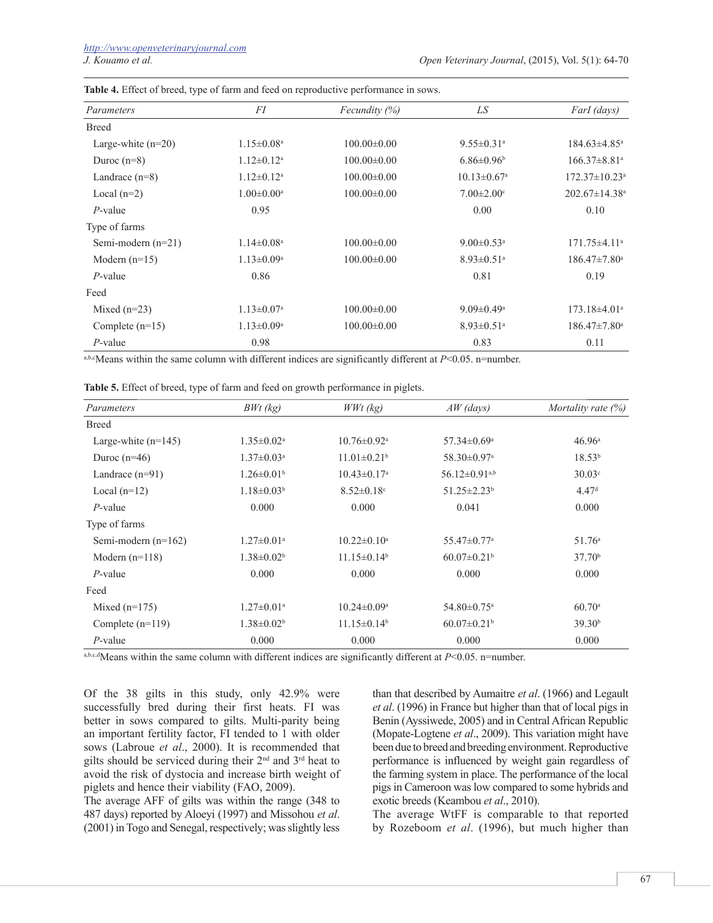| Parameters           | FI                           | Fecundity $(\%)$  | LS                            | FarI (days)                     |
|----------------------|------------------------------|-------------------|-------------------------------|---------------------------------|
| <b>Breed</b>         |                              |                   |                               |                                 |
| Large-white $(n=20)$ | $1.15 \pm 0.08$ <sup>a</sup> | $100.00\pm0.00$   | $9.55 \pm 0.31$ <sup>a</sup>  | $184.63 \pm 4.85$ <sup>a</sup>  |
| Duroc $(n=8)$        | $1.12 \pm 0.12^a$            | $100.00\pm0.00$   | $6.86 \pm 0.96$               | $166.37\pm8.81^{\circ}$         |
| Landrace $(n=8)$     | $1.12 \pm 0.12$ <sup>a</sup> | $100.00 \pm 0.00$ | $10.13 \pm 0.67$ <sup>a</sup> | $172.37 \pm 10.23$ <sup>a</sup> |
| Local $(n=2)$        | $1.00 \pm 0.00$ <sup>a</sup> | $100.00\pm0.00$   | $7.00 \pm 2.00$ <sup>c</sup>  | $202.67 \pm 14.38$ <sup>a</sup> |
| $P$ -value           | 0.95                         |                   | 0.00                          | 0.10                            |
| Type of farms        |                              |                   |                               |                                 |
| Semi-modern $(n=21)$ | $1.14 \pm 0.08$ <sup>a</sup> | $100.00\pm0.00$   | $9.00 \pm 0.53$ <sup>a</sup>  | $171.75 \pm 4.11$ <sup>a</sup>  |
| Modern $(n=15)$      | $1.13 \pm 0.09$ <sup>a</sup> | $100.00 \pm 0.00$ | $8.93 \pm 0.51$ <sup>a</sup>  | $186.47 \pm 7.80$ <sup>a</sup>  |
| $P$ -value           | 0.86                         |                   | 0.81                          | 0.19                            |
| Feed                 |                              |                   |                               |                                 |
| Mixed $(n=23)$       | $1.13 \pm 0.07$ <sup>a</sup> | $100.00 \pm 0.00$ | $9.09 \pm 0.49$ <sup>a</sup>  | $173.18\pm4.01^a$               |
| Complete $(n=15)$    | $1.13 \pm 0.09^{\text{a}}$   | $100.00 \pm 0.00$ | $8.93 \pm 0.51$ <sup>a</sup>  | $186.47 \pm 7.80$ <sup>a</sup>  |
| $P$ -value           | 0.98                         |                   | 0.83                          | 0.11                            |

**Table 4.** Effect of breed, type of farm and feed on reproductive performance in sows.

a,b,e.Means within the same column with different indices are significantly different at *P*<0.05. n=number.

**Table 5.** Effect of breed, type of farm and feed on growth performance in piglets.

| Parameters            | $BWt$ (kg)                   | $WWt$ (kg)                    | $AW$ (days)                     | Mortality rate $(\%)$ |
|-----------------------|------------------------------|-------------------------------|---------------------------------|-----------------------|
| <b>Breed</b>          |                              |                               |                                 |                       |
| Large-white $(n=145)$ | $1.35 \pm 0.02^a$            | $10.76 \pm 0.92$ <sup>a</sup> | $57.34 \pm 0.69$ <sup>a</sup>   | 46.96 <sup>a</sup>    |
| Duroc $(n=46)$        | $1.37 \pm 0.03$ <sup>a</sup> | $11.01 \pm 0.21^b$            | $58.30 \pm 0.97$ <sup>a</sup>   | $18.53^{b}$           |
| Landrace $(n=91)$     | $1.26 \pm 0.01^b$            | $10.43 \pm 0.17$ <sup>a</sup> | $56.12 \pm 0.91$ <sup>a,b</sup> | 30.03 <sup>c</sup>    |
| Local $(n=12)$        | $1.18 \pm 0.03^b$            | $8.52 \pm 0.18$ <sup>c</sup>  | $51.25 \pm 2.23$ <sup>b</sup>   | 4.47 <sup>d</sup>     |
| $P$ -value            | 0.000                        | 0.000                         | 0.041                           | 0.000                 |
| Type of farms         |                              |                               |                                 |                       |
| Semi-modern $(n=162)$ | $1.27 \pm 0.01$ <sup>a</sup> | $10.22 \pm 0.10^a$            | $55.47 \pm 0.77$ <sup>a</sup>   | 51.76 <sup>a</sup>    |
| Modern $(n=118)$      | $1.38 \pm 0.02^b$            | $11.15 \pm 0.14^b$            | $60.07 \pm 0.21$ <sup>b</sup>   | 37.70 <sup>b</sup>    |
| $P$ -value            | 0.000                        | 0.000                         | 0.000                           | 0.000                 |
| Feed                  |                              |                               |                                 |                       |
| Mixed $(n=175)$       | $1.27 \pm 0.01$ <sup>a</sup> | $10.24 \pm 0.09$ <sup>a</sup> | $54.80 \pm 0.75$ <sup>a</sup>   | $60.70$ <sup>a</sup>  |
| Complete $(n=119)$    | $1.38 \pm 0.02^b$            | $11.15 \pm 0.14^b$            | $60.07 \pm 0.21$ <sup>b</sup>   | 39.30 <sup>b</sup>    |
| $P$ -value            | 0.000                        | 0.000                         | 0.000                           | 0.000                 |

a,b,c,dMeans within the same column with different indices are significantly different at *P*<0.05. n=number.

Of the 38 gilts in this study, only 42.9% were successfully bred during their first heats. FI was better in sows compared to gilts. Multi-parity being an important fertility factor, FI tended to 1 with older sows (Labroue *et al*., 2000). It is recommended that gilts should be serviced during their  $2<sup>nd</sup>$  and  $3<sup>rd</sup>$  heat to avoid the risk of dystocia and increase birth weight of piglets and hence their viability (FAO, 2009).

The average AFF of gilts was within the range (348 to 487 days) reported by Aloeyi (1997) and Missohou *et al*. (2001) in Togo and Senegal, respectively; was slightly less

than that described by Aumaitre *et al*. (1966) and Legault *et al*. (1996) in France but higher than that of local pigs in Benin (Ayssiwede, 2005) and in Central African Republic (Mopate-Logtene *et al*., 2009). This variation might have been due to breed and breeding environment. Reproductive performance is influenced by weight gain regardless of the farming system in place. The performance of the local pigs in Cameroon was low compared to some hybrids and exotic breeds (Keambou *et al*., 2010).

The average WtFF is comparable to that reported by Rozeboom *et al*. (1996), but much higher than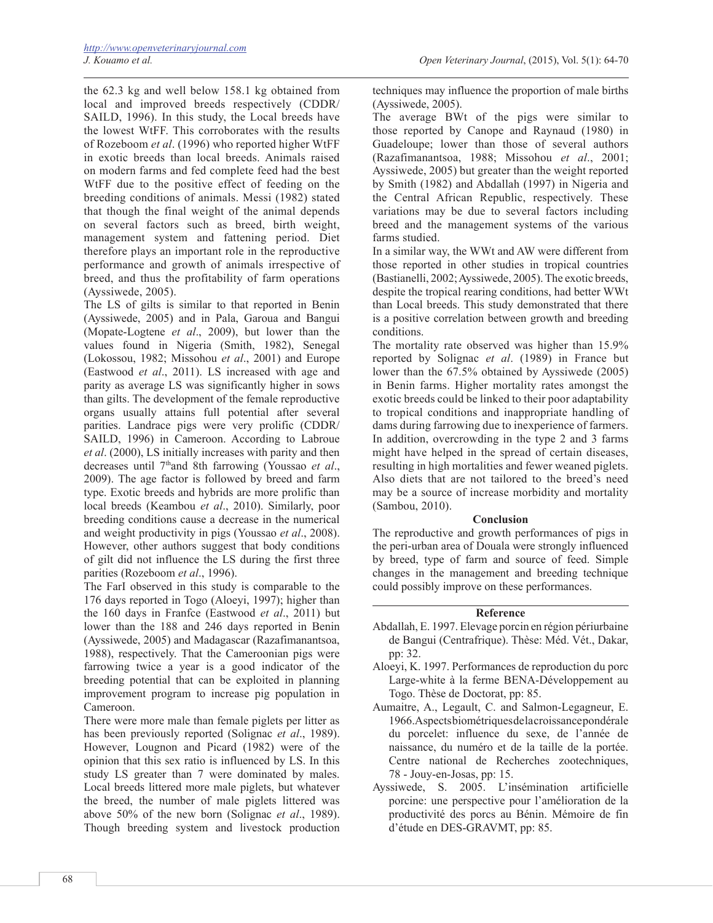the 62.3 kg and well below 158.1 kg obtained from local and improved breeds respectively (CDDR/ SAILD, 1996). In this study, the Local breeds have the lowest WtFF. This corroborates with the results of Rozeboom *et al*. (1996) who reported higher WtFF in exotic breeds than local breeds. Animals raised on modern farms and fed complete feed had the best WtFF due to the positive effect of feeding on the breeding conditions of animals. Messi (1982) stated that though the final weight of the animal depends on several factors such as breed, birth weight, management system and fattening period. Diet therefore plays an important role in the reproductive performance and growth of animals irrespective of breed, and thus the profitability of farm operations (Ayssiwede, 2005).

The LS of gilts is similar to that reported in Benin (Ayssiwede, 2005) and in Pala, Garoua and Bangui (Mopate-Logtene *et al*., 2009), but lower than the values found in Nigeria (Smith, 1982), Senegal (Lokossou, 1982; Missohou *et al*., 2001) and Europe (Eastwood *et al*., 2011). LS increased with age and parity as average LS was significantly higher in sows than gilts. The development of the female reproductive organs usually attains full potential after several parities. Landrace pigs were very prolific (CDDR/ SAILD, 1996) in Cameroon. According to Labroue *et al*. (2000), LS initially increases with parity and then decreases until 7thand 8th farrowing (Youssao *et al*., 2009). The age factor is followed by breed and farm type. Exotic breeds and hybrids are more prolific than local breeds (Keambou *et al*., 2010). Similarly, poor breeding conditions cause a decrease in the numerical and weight productivity in pigs (Youssao *et al*., 2008). However, other authors suggest that body conditions of gilt did not influence the LS during the first three parities (Rozeboom *et al*., 1996).

The FarI observed in this study is comparable to the 176 days reported in Togo (Aloeyi, 1997); higher than the 160 days in Franfce (Eastwood *et al*., 2011) but lower than the 188 and 246 days reported in Benin (Ayssiwede, 2005) and Madagascar (Razafimanantsoa, 1988), respectively. That the Cameroonian pigs were farrowing twice a year is a good indicator of the breeding potential that can be exploited in planning improvement program to increase pig population in Cameroon.

There were more male than female piglets per litter as has been previously reported (Solignac *et al*., 1989). However, Lougnon and Picard (1982) were of the opinion that this sex ratio is influenced by LS. In this study LS greater than 7 were dominated by males. Local breeds littered more male piglets, but whatever the breed, the number of male piglets littered was above 50% of the new born (Solignac *et al*., 1989). Though breeding system and livestock production

techniques may influence the proportion of male births (Ayssiwede, 2005).

The average BWt of the pigs were similar to those reported by Canope and Raynaud (1980) in Guadeloupe; lower than those of several authors (Razafimanantsoa, 1988; Missohou *et al*., 2001; Ayssiwede, 2005) but greater than the weight reported by Smith (1982) and Abdallah (1997) in Nigeria and the Central African Republic, respectively. These variations may be due to several factors including breed and the management systems of the various farms studied.

In a similar way, the WWt and AW were different from those reported in other studies in tropical countries (Bastianelli, 2002; Ayssiwede, 2005). The exotic breeds, despite the tropical rearing conditions, had better WWt than Local breeds. This study demonstrated that there is a positive correlation between growth and breeding conditions.

The mortality rate observed was higher than 15.9% reported by Solignac *et al*. (1989) in France but lower than the 67.5% obtained by Ayssiwede (2005) in Benin farms. Higher mortality rates amongst the exotic breeds could be linked to their poor adaptability to tropical conditions and inappropriate handling of dams during farrowing due to inexperience of farmers. In addition, overcrowding in the type 2 and 3 farms might have helped in the spread of certain diseases, resulting in high mortalities and fewer weaned piglets. Also diets that are not tailored to the breed's need may be a source of increase morbidity and mortality (Sambou, 2010).

### **Conclusion**

The reproductive and growth performances of pigs in the peri-urban area of Douala were strongly influenced by breed, type of farm and source of feed. Simple changes in the management and breeding technique could possibly improve on these performances.

## **Reference**

- Abdallah, E. 1997. Elevage porcin en région périurbaine de Bangui (Centrafrique). Thèse: Méd. Vét., Dakar, pp: 32.
- Aloeyi, K. 1997. Performances de reproduction du porc Large-white à la ferme BENA-Développement au Togo. Thèse de Doctorat, pp: 85.
- Aumaitre, A., Legault, C. and Salmon-Legagneur, E. 1966. Aspects biométriques de la croissance pondérale du porcelet: influence du sexe, de l'année de naissance, du numéro et de la taille de la portée. Centre national de Recherches zootechniques, 78 - Jouy-en-Josas, pp: 15.
- Ayssiwede, S. 2005. L'insémination artificielle porcine: une perspective pour l'amélioration de la productivité des porcs au Bénin. Mémoire de fin d'étude en DES-GRAVMT, pp: 85.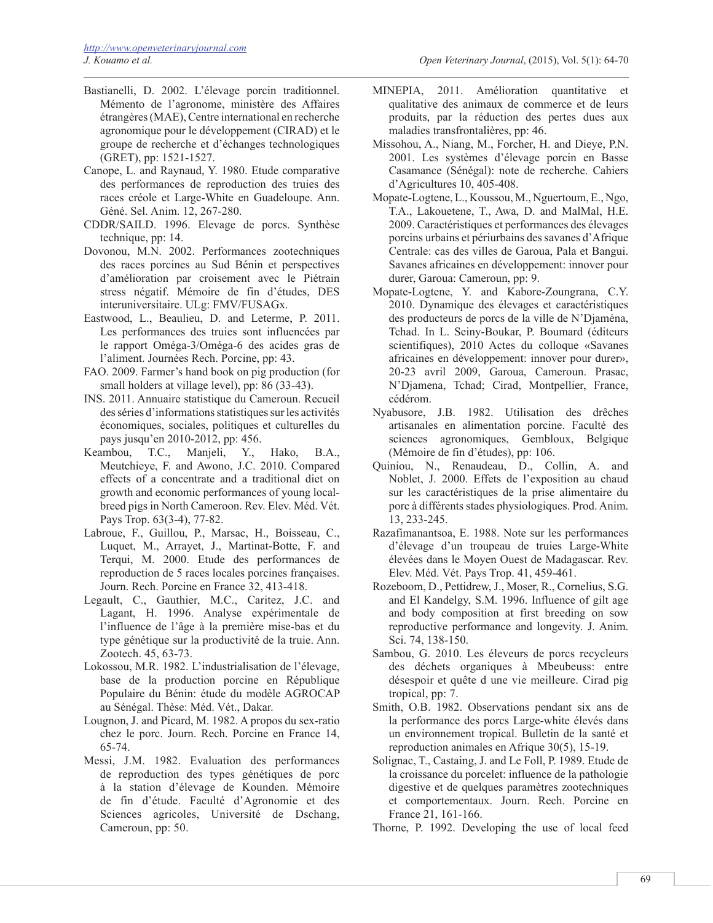- Bastianelli, D. 2002. L'élevage porcin traditionnel. Mémento de l'agronome, ministère des Affaires étrangères (MAE), Centre international en recherche agronomique pour le développement (CIRAD) et le groupe de recherche et d'échanges technologiques (GRET), pp: 1521-1527.
- Canope, L. and Raynaud, Y. 1980. Etude comparative des performances de reproduction des truies des races créole et Large-White en Guadeloupe. Ann. Géné. Sel. Anim. 12, 267-280.
- CDDR/SAILD. 1996. Elevage de porcs. Synthèse technique, pp: 14.
- Dovonou, M.N. 2002. Performances zootechniques des races porcines au Sud Bénin et perspectives d'amélioration par croisement avec le Piétrain stress négatif. Mémoire de fin d'études, DES interuniversitaire. ULg: FMV/FUSAGx.
- Eastwood, L., Beaulieu, D. and Leterme, P. 2011. Les performances des truies sont influencées par le rapport Oméga-3/Oméga-6 des acides gras de l'aliment. Journées Rech. Porcine, pp: 43.
- FAO. 2009. Farmer's hand book on pig production (for small holders at village level), pp: 86 (33-43).
- INS. 2011. Annuaire statistique du Cameroun. Recueil des séries d'informations statistiques sur les activités économiques, sociales, politiques et culturelles du pays jusqu'en 2010-2012, pp: 456.
- Keambou, T.C., Manjeli, Y., Hako, B.A., Meutchieye, F. and Awono, J.C. 2010. Compared effects of a concentrate and a traditional diet on growth and economic performances of young localbreed pigs in North Cameroon. Rev. Elev. Méd. Vét. Pays Trop. 63(3-4), 77-82.
- Labroue, F., Guillou, P., Marsac, H., Boisseau, C., Luquet, M., Arrayet, J., Martinat-Botte, F. and Terqui, M. 2000. Etude des performances de reproduction de 5 races locales porcines françaises. Journ. Rech. Porcine en France 32, 413-418.
- Legault, C., Gauthier, M.C., Caritez, J.C. and Lagant, H. 1996. Analyse expérimentale de l'influence de l'âge à la première mise-bas et du type génétique sur la productivité de la truie. Ann. Zootech. 45, 63-73.
- Lokossou, M.R. 1982. L'industrialisation de l'élevage, base de la production porcine en République Populaire du Bénin: étude du modèle AGROCAP au Sénégal. Thèse: Méd. Vét., Dakar.
- Lougnon, J. and Picard, M. 1982. A propos du sex-ratio chez le porc. Journ. Rech. Porcine en France 14, 65-74.
- Messi, J.M. 1982. Evaluation des performances de reproduction des types génétiques de porc à la station d'élevage de Kounden. Mémoire de fin d'étude. Faculté d'Agronomie et des Sciences agricoles, Université de Dschang, Cameroun, pp: 50.
- MINEPIA, 2011. Amélioration quantitative et qualitative des animaux de commerce et de leurs produits, par la réduction des pertes dues aux maladies transfrontalières, pp: 46.
- Missohou, A., Niang, M., Forcher, H. and Dieye, P.N. 2001. Les systèmes d'élevage porcin en Basse Casamance (Sénégal): note de recherche. Cahiers d'Agricultures 10, 405-408.
- Mopate-Logtene, L., Koussou, M., Nguertoum, E., Ngo, T.A., Lakouetene, T., Awa, D. and MalMal, H.E. 2009. Caractéristiques et performances des élevages porcins urbains et périurbains des savanes d'Afrique Centrale: cas des villes de Garoua, Pala et Bangui. Savanes africaines en développement: innover pour durer, Garoua: Cameroun, pp: 9.
- Mopate-Logtene, Y. and Kabore-Zoungrana, C.Y. 2010. Dynamique des élevages et caractéristiques des producteurs de porcs de la ville de N'Djaména, Tchad. In L. Seiny-Boukar, P. Boumard (éditeurs scientifiques), 2010 Actes du colloque «Savanes africaines en développement: innover pour durer», 20-23 avril 2009, Garoua, Cameroun. Prasac, N'Djamena, Tchad; Cirad, Montpellier, France, cédérom.
- Nyabusore, J.B. 1982. Utilisation des drêches artisanales en alimentation porcine. Faculté des sciences agronomiques, Gembloux, Belgique (Mémoire de fin d'études), pp: 106.
- Quiniou, N., Renaudeau, D., Collin, A. and Noblet, J. 2000. Effets de l'exposition au chaud sur les caractéristiques de la prise alimentaire du porc à différents stades physiologiques. Prod. Anim. 13, 233-245.
- Razafimanantsoa, E. 1988. Note sur les performances d'élevage d'un troupeau de truies Large-White élevées dans le Moyen Ouest de Madagascar. Rev. Elev. Méd. Vét. Pays Trop. 41, 459-461.
- Rozeboom, D., Pettidrew, J., Moser, R., Cornelius, S.G. and El Kandelgy, S.M. 1996. Influence of gilt age and body composition at first breeding on sow reproductive performance and longevity. J. Anim. Sci. 74, 138-150.
- Sambou, G. 2010. Les éleveurs de porcs recycleurs des déchets organiques à Mbeubeuss: entre désespoir et quête d une vie meilleure. Cirad pig tropical, pp: 7.
- Smith, O.B. 1982. Observations pendant six ans de la performance des porcs Large-white élevés dans un environnement tropical. Bulletin de la santé et reproduction animales en Afrique 30(5), 15-19.
- Solignac, T., Castaing, J. and Le Foll, P. 1989. Etude de la croissance du porcelet: influence de la pathologie digestive et de quelques paramètres zootechniques et comportementaux. Journ. Rech. Porcine en France 21, 161-166.
- Thorne, P. 1992. Developing the use of local feed